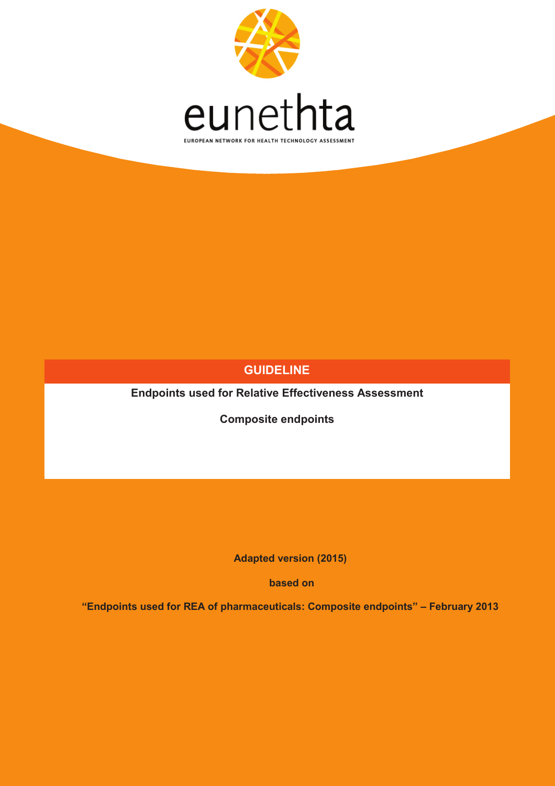

## **GUIDELINE**

**Endpoints used for Relative Effectiveness Assessment**

**Composite endpoints**

**Adapted version (2015)**

**based on** 

**"Endpoints used for REA of pharmaceuticals: Composite endpoints" – February 2013**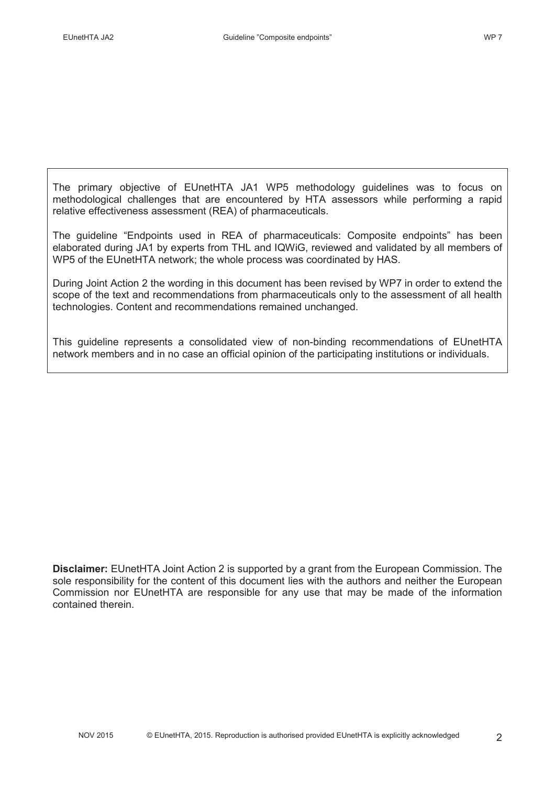The primary objective of EUnetHTA JA1 WP5 methodology guidelines was to focus on methodological challenges that are encountered by HTA assessors while performing a rapid relative effectiveness assessment (REA) of pharmaceuticals.

The guideline "Endpoints used in REA of pharmaceuticals: Composite endpoints" has been elaborated during JA1 by experts from THL and IQWiG, reviewed and validated by all members of WP5 of the EUnetHTA network; the whole process was coordinated by HAS.

During Joint Action 2 the wording in this document has been revised by WP7 in order to extend the scope of the text and recommendations from pharmaceuticals only to the assessment of all health technologies. Content and recommendations remained unchanged.

This guideline represents a consolidated view of non-binding recommendations of EUnetHTA network members and in no case an official opinion of the participating institutions or individuals.

**Disclaimer:** EUnetHTA Joint Action 2 is supported by a grant from the European Commission. The sole responsibility for the content of this document lies with the authors and neither the European Commission nor EUnetHTA are responsible for any use that may be made of the information contained therein.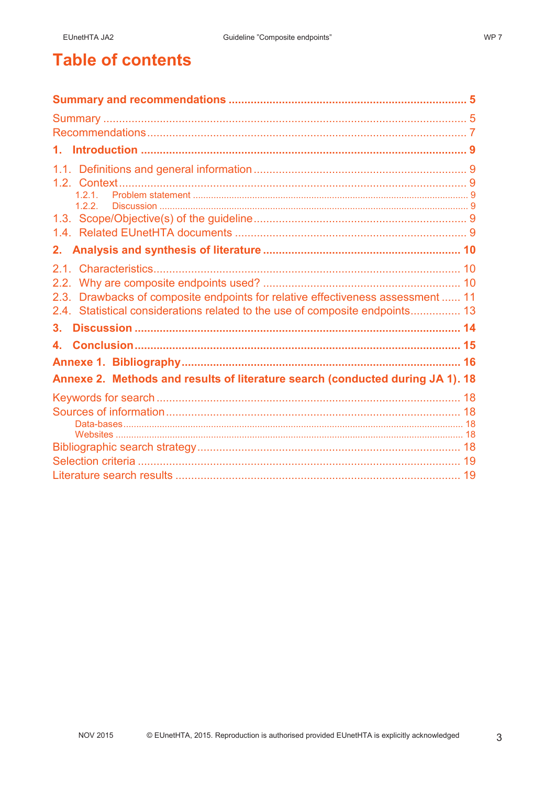# **Table of contents**

| 1.                                                                              |  |
|---------------------------------------------------------------------------------|--|
|                                                                                 |  |
|                                                                                 |  |
| 121                                                                             |  |
|                                                                                 |  |
|                                                                                 |  |
|                                                                                 |  |
|                                                                                 |  |
|                                                                                 |  |
| 2.3. Drawbacks of composite endpoints for relative effectiveness assessment  11 |  |
| 2.4. Statistical considerations related to the use of composite endpoints 13    |  |
| З.                                                                              |  |
|                                                                                 |  |
|                                                                                 |  |
| Annexe 2. Methods and results of literature search (conducted during JA 1). 18  |  |
|                                                                                 |  |
|                                                                                 |  |
|                                                                                 |  |
|                                                                                 |  |
|                                                                                 |  |
|                                                                                 |  |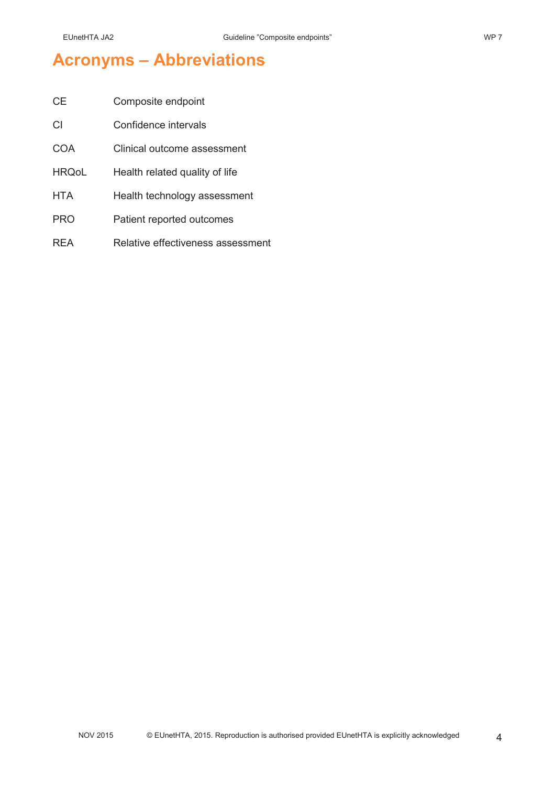# **Acronyms – Abbreviations**

| CE           | Composite endpoint                |
|--------------|-----------------------------------|
| СI           | Confidence intervals              |
| <b>COA</b>   | Clinical outcome assessment       |
| <b>HRQoL</b> | Health related quality of life    |
| <b>HTA</b>   | Health technology assessment      |
| <b>PRO</b>   | Patient reported outcomes         |
| <b>RFA</b>   | Relative effectiveness assessment |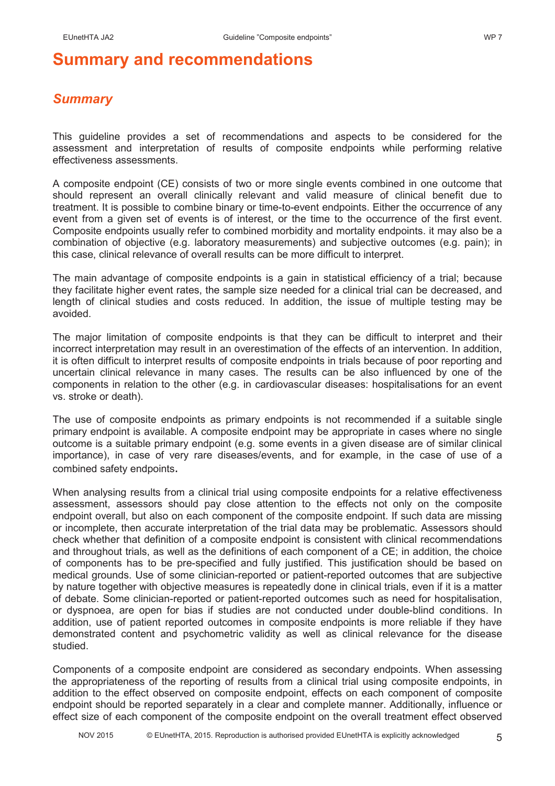## *Summary*

This guideline provides a set of recommendations and aspects to be considered for the assessment and interpretation of results of composite endpoints while performing relative effectiveness assessments.

A composite endpoint (CE) consists of two or more single events combined in one outcome that should represent an overall clinically relevant and valid measure of clinical benefit due to treatment. It is possible to combine binary or time-to-event endpoints. Either the occurrence of any event from a given set of events is of interest, or the time to the occurrence of the first event. Composite endpoints usually refer to combined morbidity and mortality endpoints. it may also be a combination of objective (e.g. laboratory measurements) and subjective outcomes (e.g. pain); in this case, clinical relevance of overall results can be more difficult to interpret.

The main advantage of composite endpoints is a gain in statistical efficiency of a trial; because they facilitate higher event rates, the sample size needed for a clinical trial can be decreased, and length of clinical studies and costs reduced. In addition, the issue of multiple testing may be avoided.

The major limitation of composite endpoints is that they can be difficult to interpret and their incorrect interpretation may result in an overestimation of the effects of an intervention. In addition, it is often difficult to interpret results of composite endpoints in trials because of poor reporting and uncertain clinical relevance in many cases. The results can be also influenced by one of the components in relation to the other (e.g. in cardiovascular diseases: hospitalisations for an event vs. stroke or death).

The use of composite endpoints as primary endpoints is not recommended if a suitable single primary endpoint is available. A composite endpoint may be appropriate in cases where no single outcome is a suitable primary endpoint (e.g. some events in a given disease are of similar clinical importance), in case of very rare diseases/events, and for example, in the case of use of a combined safety endpoints.

When analysing results from a clinical trial using composite endpoints for a relative effectiveness assessment, assessors should pay close attention to the effects not only on the composite endpoint overall, but also on each component of the composite endpoint. If such data are missing or incomplete, then accurate interpretation of the trial data may be problematic. Assessors should check whether that definition of a composite endpoint is consistent with clinical recommendations and throughout trials, as well as the definitions of each component of a CE; in addition, the choice of components has to be pre-specified and fully justified. This justification should be based on medical grounds. Use of some clinician-reported or patient-reported outcomes that are subjective by nature together with objective measures is repeatedly done in clinical trials, even if it is a matter of debate. Some clinician-reported or patient-reported outcomes such as need for hospitalisation, or dyspnoea, are open for bias if studies are not conducted under double-blind conditions. In addition, use of patient reported outcomes in composite endpoints is more reliable if they have demonstrated content and psychometric validity as well as clinical relevance for the disease studied.

Components of a composite endpoint are considered as secondary endpoints. When assessing the appropriateness of the reporting of results from a clinical trial using composite endpoints, in addition to the effect observed on composite endpoint, effects on each component of composite endpoint should be reported separately in a clear and complete manner. Additionally, influence or effect size of each component of the composite endpoint on the overall treatment effect observed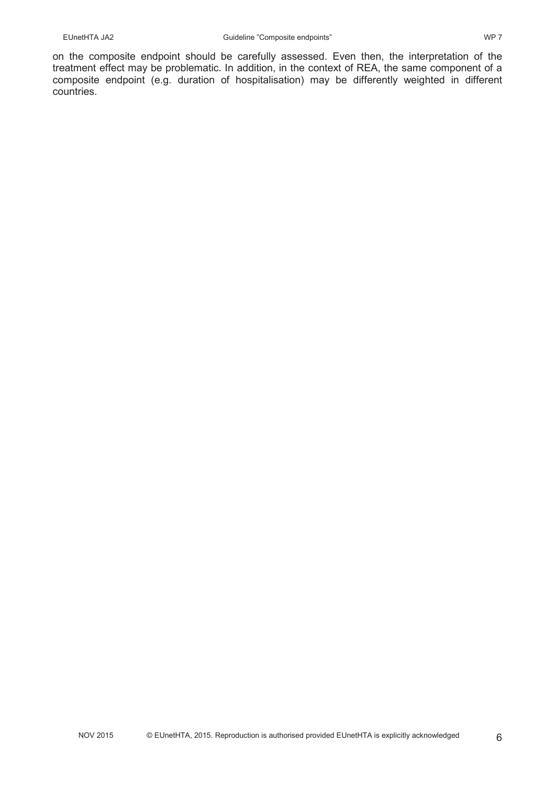on the composite endpoint should be carefully assessed. Even then, the interpretation of the treatment effect may be problematic. In addition, in the context of REA, the same component of a composite endpoint (e.g. duration of hospitalisation) may be differently weighted in different countries.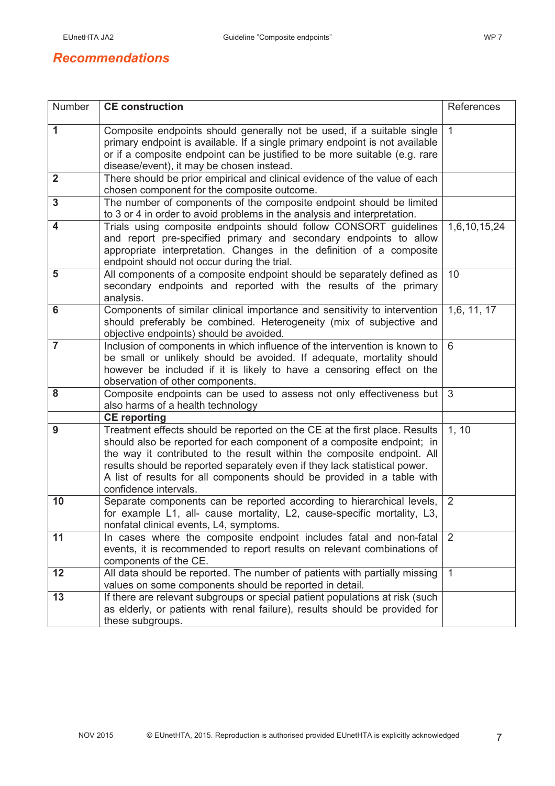## *Recommendations*

| Number         | <b>CE</b> construction                                                                                                                                                                                                                                                                                                                                                                                            | References     |
|----------------|-------------------------------------------------------------------------------------------------------------------------------------------------------------------------------------------------------------------------------------------------------------------------------------------------------------------------------------------------------------------------------------------------------------------|----------------|
| $\mathbf 1$    | Composite endpoints should generally not be used, if a suitable single<br>primary endpoint is available. If a single primary endpoint is not available<br>or if a composite endpoint can be justified to be more suitable (e.g. rare<br>disease/event), it may be chosen instead.                                                                                                                                 | 1              |
| $\overline{2}$ | There should be prior empirical and clinical evidence of the value of each<br>chosen component for the composite outcome.                                                                                                                                                                                                                                                                                         |                |
| 3              | The number of components of the composite endpoint should be limited<br>to 3 or 4 in order to avoid problems in the analysis and interpretation.                                                                                                                                                                                                                                                                  |                |
| 4              | Trials using composite endpoints should follow CONSORT guidelines<br>and report pre-specified primary and secondary endpoints to allow<br>appropriate interpretation. Changes in the definition of a composite<br>endpoint should not occur during the trial.                                                                                                                                                     | 1,6,10,15,24   |
| 5              | All components of a composite endpoint should be separately defined as<br>secondary endpoints and reported with the results of the primary<br>analysis.                                                                                                                                                                                                                                                           | 10             |
| 6              | Components of similar clinical importance and sensitivity to intervention<br>should preferably be combined. Heterogeneity (mix of subjective and<br>objective endpoints) should be avoided.                                                                                                                                                                                                                       | 1,6, 11, 17    |
| $\overline{7}$ | Inclusion of components in which influence of the intervention is known to<br>be small or unlikely should be avoided. If adequate, mortality should<br>however be included if it is likely to have a censoring effect on the<br>observation of other components.                                                                                                                                                  | 6              |
| 8              | Composite endpoints can be used to assess not only effectiveness but<br>also harms of a health technology                                                                                                                                                                                                                                                                                                         | 3              |
|                | <b>CE</b> reporting                                                                                                                                                                                                                                                                                                                                                                                               |                |
| 9              | Treatment effects should be reported on the CE at the first place. Results<br>should also be reported for each component of a composite endpoint; in<br>the way it contributed to the result within the composite endpoint. All<br>results should be reported separately even if they lack statistical power.<br>A list of results for all components should be provided in a table with<br>confidence intervals. | 1, 10          |
| 10             | Separate components can be reported according to hierarchical levels,<br>for example L1, all- cause mortality, L2, cause-specific mortality, L3,<br>nonfatal clinical events, L4, symptoms.                                                                                                                                                                                                                       | $\overline{2}$ |
| 11             | In cases where the composite endpoint includes fatal and non-fatal<br>events, it is recommended to report results on relevant combinations of<br>components of the CE.                                                                                                                                                                                                                                            | 2              |
| 12             | All data should be reported. The number of patients with partially missing<br>values on some components should be reported in detail.                                                                                                                                                                                                                                                                             | $\mathbf{1}$   |
| 13             | If there are relevant subgroups or special patient populations at risk (such<br>as elderly, or patients with renal failure), results should be provided for<br>these subgroups.                                                                                                                                                                                                                                   |                |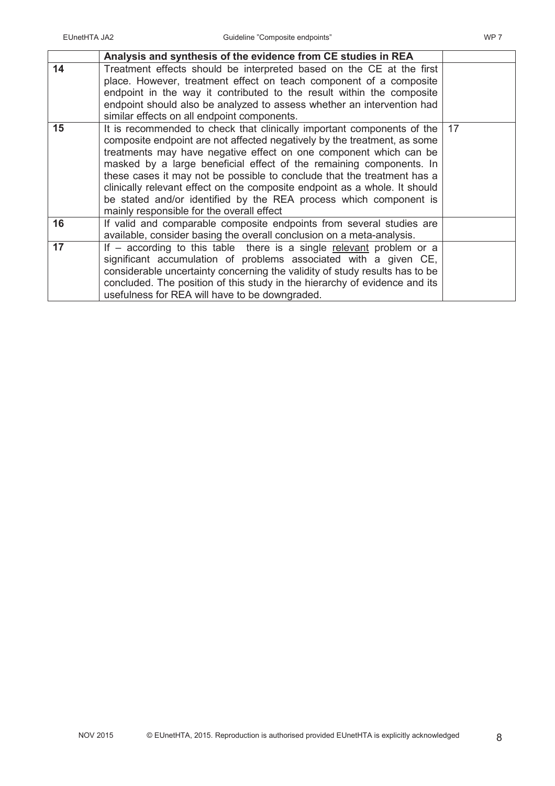|    | Analysis and synthesis of the evidence from CE studies in REA                                                                                                                                                                                                                                                                                                                                                                                                                                                                                                             |    |
|----|---------------------------------------------------------------------------------------------------------------------------------------------------------------------------------------------------------------------------------------------------------------------------------------------------------------------------------------------------------------------------------------------------------------------------------------------------------------------------------------------------------------------------------------------------------------------------|----|
| 14 | Treatment effects should be interpreted based on the CE at the first<br>place. However, treatment effect on teach component of a composite<br>endpoint in the way it contributed to the result within the composite<br>endpoint should also be analyzed to assess whether an intervention had<br>similar effects on all endpoint components.                                                                                                                                                                                                                              |    |
| 15 | It is recommended to check that clinically important components of the<br>composite endpoint are not affected negatively by the treatment, as some<br>treatments may have negative effect on one component which can be<br>masked by a large beneficial effect of the remaining components. In<br>these cases it may not be possible to conclude that the treatment has a<br>clinically relevant effect on the composite endpoint as a whole. It should<br>be stated and/or identified by the REA process which component is<br>mainly responsible for the overall effect | 17 |
| 16 | If valid and comparable composite endpoints from several studies are<br>available, consider basing the overall conclusion on a meta-analysis.                                                                                                                                                                                                                                                                                                                                                                                                                             |    |
| 17 | If $-$ according to this table there is a single relevant problem or a<br>significant accumulation of problems associated with a given CE,<br>considerable uncertainty concerning the validity of study results has to be<br>concluded. The position of this study in the hierarchy of evidence and its<br>usefulness for REA will have to be downgraded.                                                                                                                                                                                                                 |    |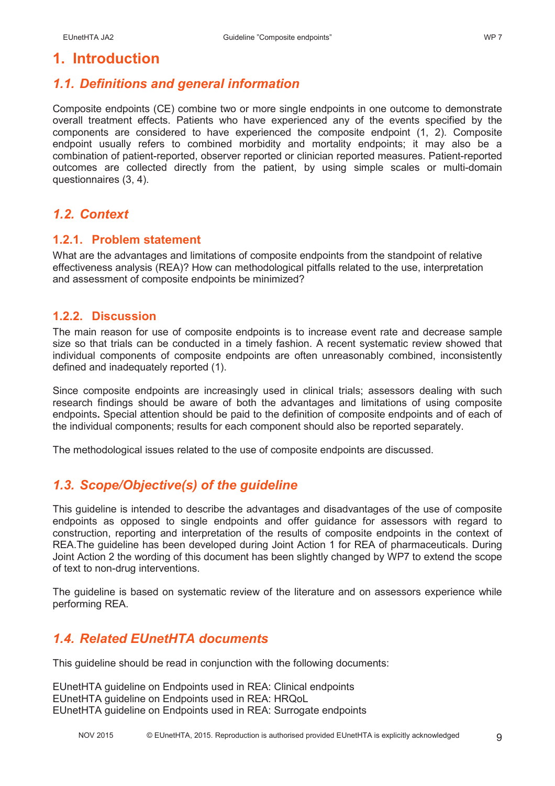## **1. Introduction**

## *1.1. Definitions and general information*

Composite endpoints (CE) combine two or more single endpoints in one outcome to demonstrate overall treatment effects. Patients who have experienced any of the events specified by the components are considered to have experienced the composite endpoint (1, 2). Composite endpoint usually refers to combined morbidity and mortality endpoints; it may also be a combination of patient-reported, observer reported or clinician reported measures. Patient-reported outcomes are collected directly from the patient, by using simple scales or multi-domain questionnaires (3, 4).

## *1.2. Context*

#### **1.2.1. Problem statement**

What are the advantages and limitations of composite endpoints from the standpoint of relative effectiveness analysis (REA)? How can methodological pitfalls related to the use, interpretation and assessment of composite endpoints be minimized?

#### **1.2.2. Discussion**

The main reason for use of composite endpoints is to increase event rate and decrease sample size so that trials can be conducted in a timely fashion. A recent systematic review showed that individual components of composite endpoints are often unreasonably combined, inconsistently defined and inadequately reported (1).

Since composite endpoints are increasingly used in clinical trials; assessors dealing with such research findings should be aware of both the advantages and limitations of using composite endpoints**.** Special attention should be paid to the definition of composite endpoints and of each of the individual components; results for each component should also be reported separately.

The methodological issues related to the use of composite endpoints are discussed.

## *1.3. Scope/Objective(s) of the guideline*

This guideline is intended to describe the advantages and disadvantages of the use of composite endpoints as opposed to single endpoints and offer guidance for assessors with regard to construction, reporting and interpretation of the results of composite endpoints in the context of REA.The guideline has been developed during Joint Action 1 for REA of pharmaceuticals. During Joint Action 2 the wording of this document has been slightly changed by WP7 to extend the scope of text to non-drug interventions.

The guideline is based on systematic review of the literature and on assessors experience while performing REA.

## *1.4. Related EUnetHTA documents*

This guideline should be read in conjunction with the following documents:

EUnetHTA guideline on Endpoints used in REA: Clinical endpoints EUnetHTA guideline on Endpoints used in REA: HRQoL EUnetHTA guideline on Endpoints used in REA: Surrogate endpoints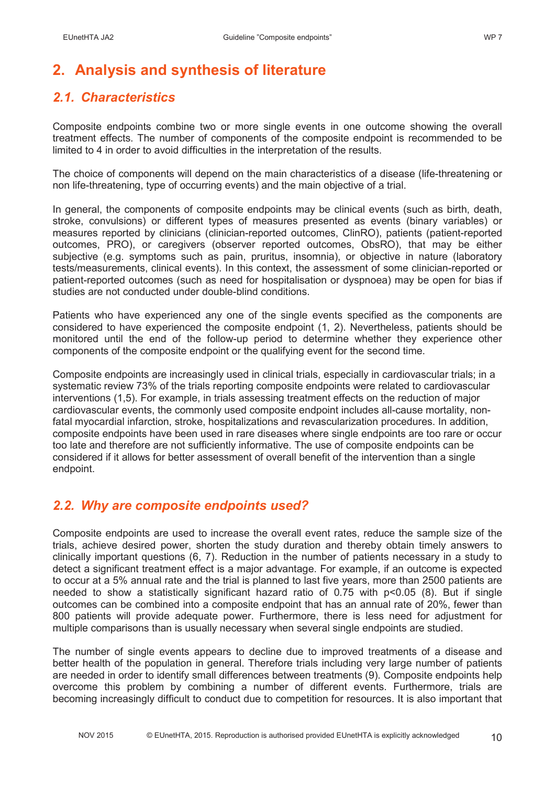# **2. Analysis and synthesis of literature**

## *2.1. Characteristics*

Composite endpoints combine two or more single events in one outcome showing the overall treatment effects. The number of components of the composite endpoint is recommended to be limited to 4 in order to avoid difficulties in the interpretation of the results.

The choice of components will depend on the main characteristics of a disease (life-threatening or non life-threatening, type of occurring events) and the main objective of a trial.

In general, the components of composite endpoints may be clinical events (such as birth, death, stroke, convulsions) or different types of measures presented as events (binary variables) or measures reported by clinicians (clinician-reported outcomes, ClinRO), patients (patient-reported outcomes, PRO), or caregivers (observer reported outcomes, ObsRO), that may be either subjective (e.g. symptoms such as pain, pruritus, insomnia), or objective in nature (laboratory tests/measurements, clinical events). In this context, the assessment of some clinician-reported or patient-reported outcomes (such as need for hospitalisation or dyspnoea) may be open for bias if studies are not conducted under double-blind conditions.

Patients who have experienced any one of the single events specified as the components are considered to have experienced the composite endpoint (1, 2). Nevertheless, patients should be monitored until the end of the follow-up period to determine whether they experience other components of the composite endpoint or the qualifying event for the second time.

Composite endpoints are increasingly used in clinical trials, especially in cardiovascular trials; in a systematic review 73% of the trials reporting composite endpoints were related to cardiovascular interventions (1,5). For example, in trials assessing treatment effects on the reduction of major cardiovascular events, the commonly used composite endpoint includes all-cause mortality, nonfatal myocardial infarction, stroke, hospitalizations and revascularization procedures. In addition, composite endpoints have been used in rare diseases where single endpoints are too rare or occur too late and therefore are not sufficiently informative. The use of composite endpoints can be considered if it allows for better assessment of overall benefit of the intervention than a single endpoint.

## *2.2. Why are composite endpoints used?*

Composite endpoints are used to increase the overall event rates, reduce the sample size of the trials, achieve desired power, shorten the study duration and thereby obtain timely answers to clinically important questions (6, 7). Reduction in the number of patients necessary in a study to detect a significant treatment effect is a major advantage. For example, if an outcome is expected to occur at a 5% annual rate and the trial is planned to last five years, more than 2500 patients are needed to show a statistically significant hazard ratio of 0.75 with p<0.05 (8). But if single outcomes can be combined into a composite endpoint that has an annual rate of 20%, fewer than 800 patients will provide adequate power. Furthermore, there is less need for adjustment for multiple comparisons than is usually necessary when several single endpoints are studied.

The number of single events appears to decline due to improved treatments of a disease and better health of the population in general. Therefore trials including very large number of patients are needed in order to identify small differences between treatments (9). Composite endpoints help overcome this problem by combining a number of different events. Furthermore, trials are becoming increasingly difficult to conduct due to competition for resources. It is also important that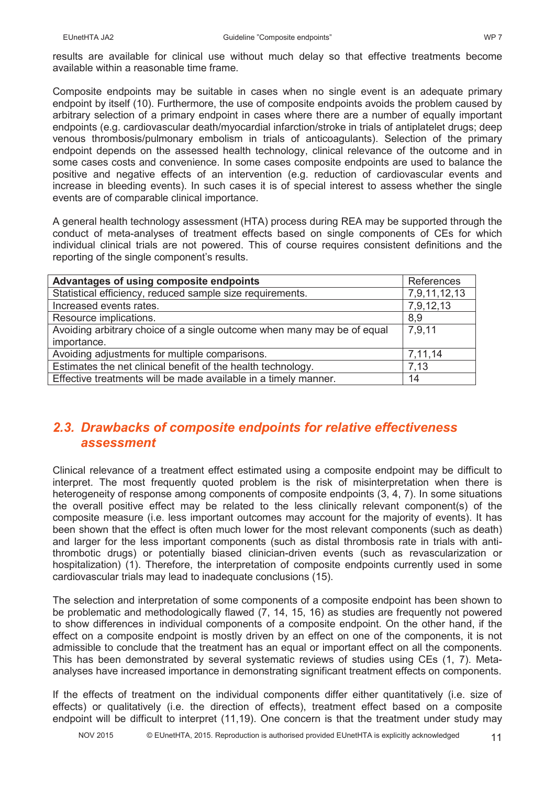results are available for clinical use without much delay so that effective treatments become available within a reasonable time frame.

Composite endpoints may be suitable in cases when no single event is an adequate primary endpoint by itself (10). Furthermore, the use of composite endpoints avoids the problem caused by arbitrary selection of a primary endpoint in cases where there are a number of equally important endpoints (e.g. cardiovascular death/myocardial infarction/stroke in trials of antiplatelet drugs; deep venous thrombosis/pulmonary embolism in trials of anticoagulants). Selection of the primary endpoint depends on the assessed health technology, clinical relevance of the outcome and in some cases costs and convenience. In some cases composite endpoints are used to balance the positive and negative effects of an intervention (e.g. reduction of cardiovascular events and increase in bleeding events). In such cases it is of special interest to assess whether the single events are of comparable clinical importance.

A general health technology assessment (HTA) process during REA may be supported through the conduct of meta-analyses of treatment effects based on single components of CEs for which individual clinical trials are not powered. This of course requires consistent definitions and the reporting of the single component's results.

| Advantages of using composite endpoints                                 | References   |
|-------------------------------------------------------------------------|--------------|
| Statistical efficiency, reduced sample size requirements.               | 7,9,11,12,13 |
| Increased events rates.                                                 | 7,9,12,13    |
| Resource implications.                                                  | 8,9          |
| Avoiding arbitrary choice of a single outcome when many may be of equal | 7,9,11       |
| importance.                                                             |              |
| Avoiding adjustments for multiple comparisons.                          | 7,11,14      |
| Estimates the net clinical benefit of the health technology.            | 7.13         |
| Effective treatments will be made available in a timely manner.         | 14           |

## *2.3. Drawbacks of composite endpoints for relative effectiveness assessment*

Clinical relevance of a treatment effect estimated using a composite endpoint may be difficult to interpret. The most frequently quoted problem is the risk of misinterpretation when there is heterogeneity of response among components of composite endpoints (3, 4, 7). In some situations the overall positive effect may be related to the less clinically relevant component(s) of the composite measure (i.e. less important outcomes may account for the majority of events). It has been shown that the effect is often much lower for the most relevant components (such as death) and larger for the less important components (such as distal thrombosis rate in trials with antithrombotic drugs) or potentially biased clinician-driven events (such as revascularization or hospitalization) (1). Therefore, the interpretation of composite endpoints currently used in some cardiovascular trials may lead to inadequate conclusions (15).

The selection and interpretation of some components of a composite endpoint has been shown to be problematic and methodologically flawed (7, 14, 15, 16) as studies are frequently not powered to show differences in individual components of a composite endpoint. On the other hand, if the effect on a composite endpoint is mostly driven by an effect on one of the components, it is not admissible to conclude that the treatment has an equal or important effect on all the components. This has been demonstrated by several systematic reviews of studies using CEs (1, 7). Metaanalyses have increased importance in demonstrating significant treatment effects on components.

If the effects of treatment on the individual components differ either quantitatively (i.e. size of effects) or qualitatively (i.e. the direction of effects), treatment effect based on a composite endpoint will be difficult to interpret (11,19). One concern is that the treatment under study may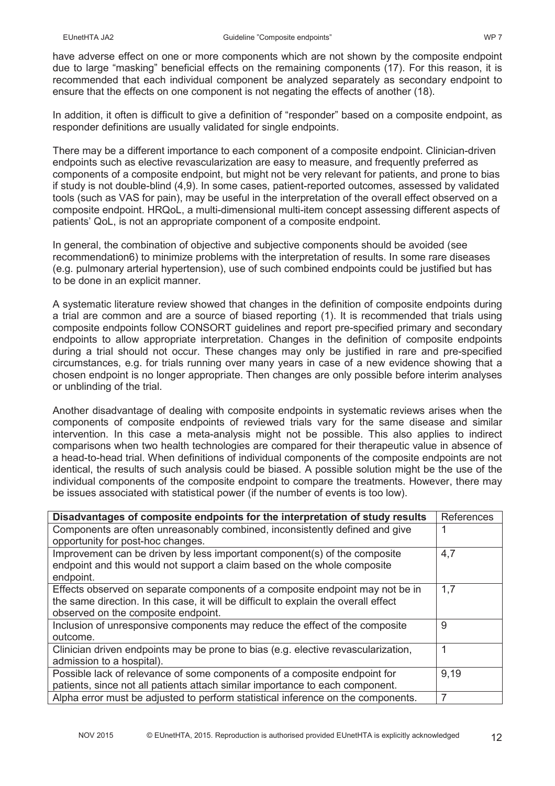have adverse effect on one or more components which are not shown by the composite endpoint due to large "masking" beneficial effects on the remaining components (17). For this reason, it is recommended that each individual component be analyzed separately as secondary endpoint to ensure that the effects on one component is not negating the effects of another (18).

In addition, it often is difficult to give a definition of "responder" based on a composite endpoint, as responder definitions are usually validated for single endpoints.

There may be a different importance to each component of a composite endpoint. Clinician-driven endpoints such as elective revascularization are easy to measure, and frequently preferred as components of a composite endpoint, but might not be very relevant for patients, and prone to bias if study is not double-blind (4,9). In some cases, patient-reported outcomes, assessed by validated tools (such as VAS for pain), may be useful in the interpretation of the overall effect observed on a composite endpoint. HRQoL, a multi-dimensional multi-item concept assessing different aspects of patients' QoL, is not an appropriate component of a composite endpoint.

In general, the combination of objective and subjective components should be avoided (see recommendation6) to minimize problems with the interpretation of results. In some rare diseases (e.g. pulmonary arterial hypertension), use of such combined endpoints could be justified but has to be done in an explicit manner.

A systematic literature review showed that changes in the definition of composite endpoints during a trial are common and are a source of biased reporting (1). It is recommended that trials using composite endpoints follow CONSORT guidelines and report pre-specified primary and secondary endpoints to allow appropriate interpretation. Changes in the definition of composite endpoints during a trial should not occur. These changes may only be justified in rare and pre-specified circumstances, e.g. for trials running over many years in case of a new evidence showing that a chosen endpoint is no longer appropriate. Then changes are only possible before interim analyses or unblinding of the trial.

Another disadvantage of dealing with composite endpoints in systematic reviews arises when the components of composite endpoints of reviewed trials vary for the same disease and similar intervention. In this case a meta-analysis might not be possible. This also applies to indirect comparisons when two health technologies are compared for their therapeutic value in absence of a head-to-head trial. When definitions of individual components of the composite endpoints are not identical, the results of such analysis could be biased. A possible solution might be the use of the individual components of the composite endpoint to compare the treatments. However, there may be issues associated with statistical power (if the number of events is too low).

| Disadvantages of composite endpoints for the interpretation of study results         | References |
|--------------------------------------------------------------------------------------|------------|
| Components are often unreasonably combined, inconsistently defined and give          |            |
| opportunity for post-hoc changes.                                                    |            |
| Improvement can be driven by less important component(s) of the composite            | 4,7        |
| endpoint and this would not support a claim based on the whole composite             |            |
| endpoint.                                                                            |            |
| Effects observed on separate components of a composite endpoint may not be in        | 1,7        |
| the same direction. In this case, it will be difficult to explain the overall effect |            |
| observed on the composite endpoint.                                                  |            |
| Inclusion of unresponsive components may reduce the effect of the composite          | 9          |
| outcome.                                                                             |            |
| Clinician driven endpoints may be prone to bias (e.g. elective revascularization,    |            |
| admission to a hospital).                                                            |            |
| Possible lack of relevance of some components of a composite endpoint for            | 9,19       |
| patients, since not all patients attach similar importance to each component.        |            |
| Alpha error must be adjusted to perform statistical inference on the components.     | 7          |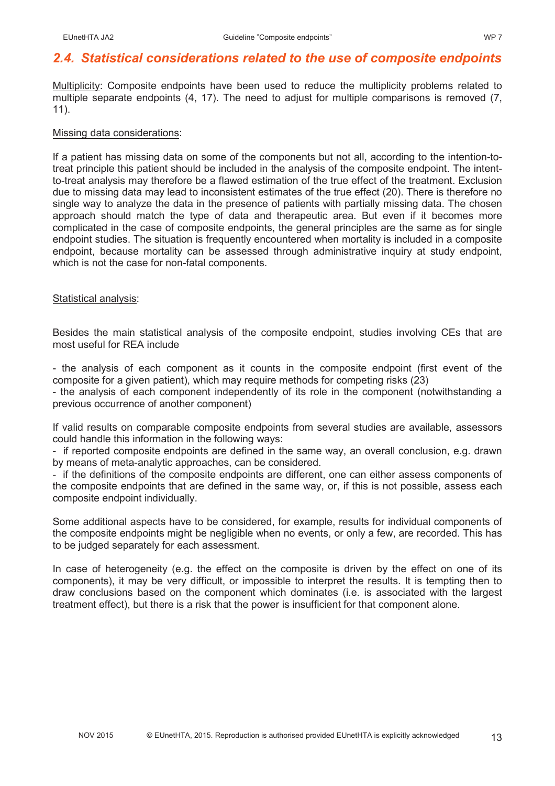## *2.4. Statistical considerations related to the use of composite endpoints*

Multiplicity: Composite endpoints have been used to reduce the multiplicity problems related to multiple separate endpoints (4, 17). The need to adjust for multiple comparisons is removed (7, 11).

#### Missing data considerations:

If a patient has missing data on some of the components but not all, according to the intention-totreat principle this patient should be included in the analysis of the composite endpoint. The intentto-treat analysis may therefore be a flawed estimation of the true effect of the treatment. Exclusion due to missing data may lead to inconsistent estimates of the true effect (20). There is therefore no single way to analyze the data in the presence of patients with partially missing data. The chosen approach should match the type of data and therapeutic area. But even if it becomes more complicated in the case of composite endpoints, the general principles are the same as for single endpoint studies. The situation is frequently encountered when mortality is included in a composite endpoint, because mortality can be assessed through administrative inquiry at study endpoint. which is not the case for non-fatal components.

#### Statistical analysis:

Besides the main statistical analysis of the composite endpoint, studies involving CEs that are most useful for REA include

- the analysis of each component as it counts in the composite endpoint (first event of the composite for a given patient), which may require methods for competing risks (23)

- the analysis of each component independently of its role in the component (notwithstanding a previous occurrence of another component)

If valid results on comparable composite endpoints from several studies are available, assessors could handle this information in the following ways:

- if reported composite endpoints are defined in the same way, an overall conclusion, e.g. drawn by means of meta-analytic approaches, can be considered.

- if the definitions of the composite endpoints are different, one can either assess components of the composite endpoints that are defined in the same way, or, if this is not possible, assess each composite endpoint individually.

Some additional aspects have to be considered, for example, results for individual components of the composite endpoints might be negligible when no events, or only a few, are recorded. This has to be judged separately for each assessment.

In case of heterogeneity (e.g. the effect on the composite is driven by the effect on one of its components), it may be very difficult, or impossible to interpret the results. It is tempting then to draw conclusions based on the component which dominates (i.e. is associated with the largest treatment effect), but there is a risk that the power is insufficient for that component alone.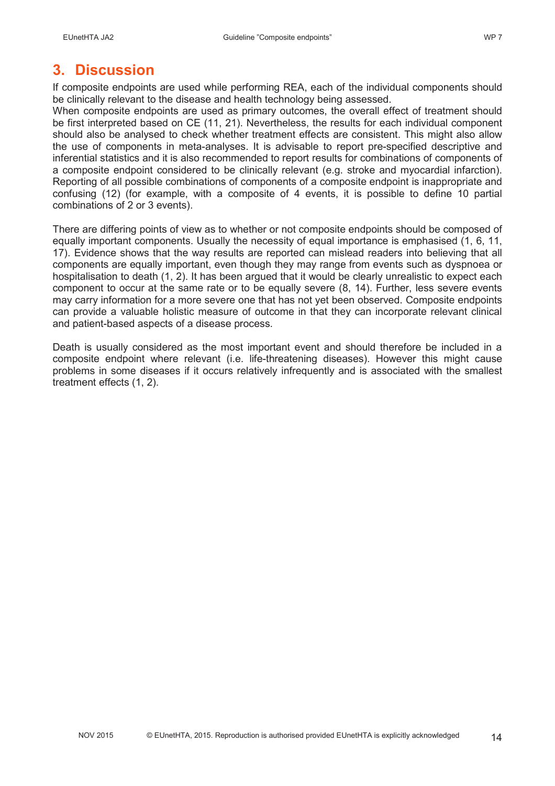## **3. Discussion**

If composite endpoints are used while performing REA, each of the individual components should be clinically relevant to the disease and health technology being assessed.

When composite endpoints are used as primary outcomes, the overall effect of treatment should be first interpreted based on CE (11, 21). Nevertheless, the results for each individual component should also be analysed to check whether treatment effects are consistent. This might also allow the use of components in meta-analyses. It is advisable to report pre-specified descriptive and inferential statistics and it is also recommended to report results for combinations of components of a composite endpoint considered to be clinically relevant (e.g. stroke and myocardial infarction). Reporting of all possible combinations of components of a composite endpoint is inappropriate and confusing (12) (for example, with a composite of 4 events, it is possible to define 10 partial combinations of 2 or 3 events).

There are differing points of view as to whether or not composite endpoints should be composed of equally important components. Usually the necessity of equal importance is emphasised (1, 6, 11, 17). Evidence shows that the way results are reported can mislead readers into believing that all components are equally important, even though they may range from events such as dyspnoea or hospitalisation to death (1, 2). It has been argued that it would be clearly unrealistic to expect each component to occur at the same rate or to be equally severe (8, 14). Further, less severe events may carry information for a more severe one that has not yet been observed. Composite endpoints can provide a valuable holistic measure of outcome in that they can incorporate relevant clinical and patient-based aspects of a disease process.

Death is usually considered as the most important event and should therefore be included in a composite endpoint where relevant (i.e. life-threatening diseases). However this might cause problems in some diseases if it occurs relatively infrequently and is associated with the smallest treatment effects (1, 2).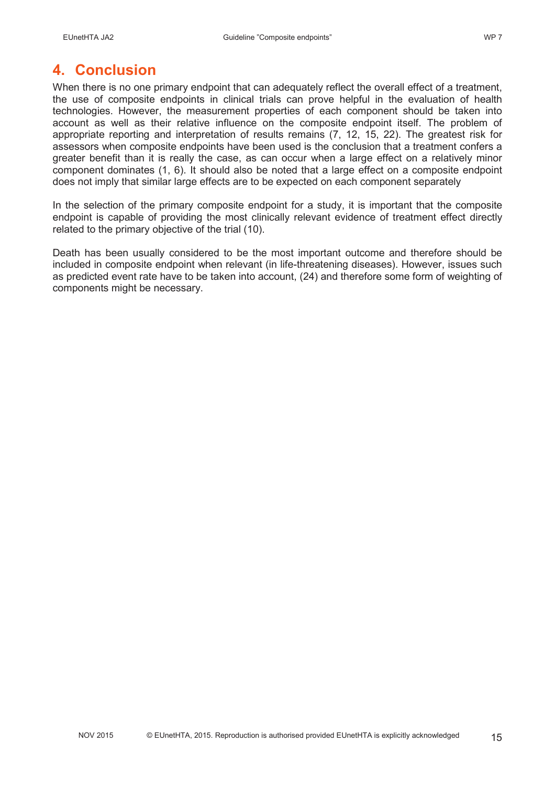## **4. Conclusion**

When there is no one primary endpoint that can adequately reflect the overall effect of a treatment, the use of composite endpoints in clinical trials can prove helpful in the evaluation of health technologies. However, the measurement properties of each component should be taken into account as well as their relative influence on the composite endpoint itself. The problem of appropriate reporting and interpretation of results remains (7, 12, 15, 22). The greatest risk for assessors when composite endpoints have been used is the conclusion that a treatment confers a greater benefit than it is really the case, as can occur when a large effect on a relatively minor component dominates (1, 6). It should also be noted that a large effect on a composite endpoint does not imply that similar large effects are to be expected on each component separately

In the selection of the primary composite endpoint for a study, it is important that the composite endpoint is capable of providing the most clinically relevant evidence of treatment effect directly related to the primary objective of the trial (10).

Death has been usually considered to be the most important outcome and therefore should be included in composite endpoint when relevant (in life-threatening diseases). However, issues such as predicted event rate have to be taken into account, (24) and therefore some form of weighting of components might be necessary.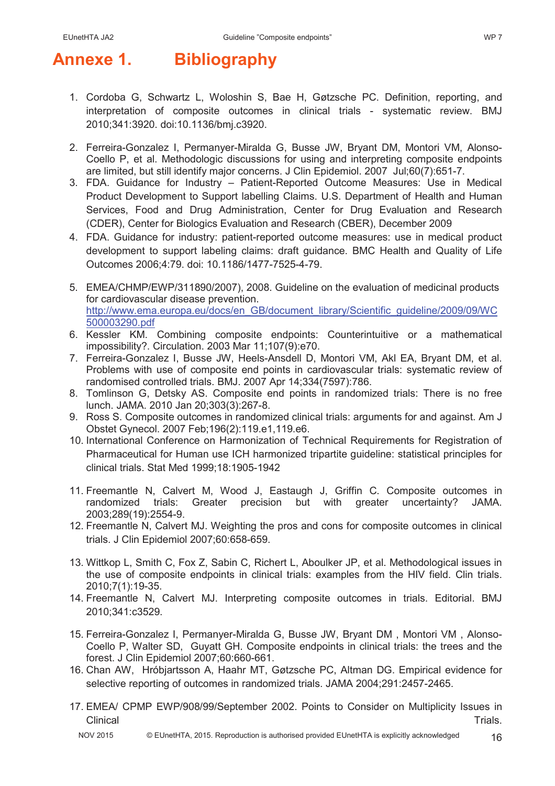# **Annexe 1. Bibliography**

- 1. Cordoba G, Schwartz L, Woloshin S, Bae H, Gøtzsche PC. Definition, reporting, and interpretation of composite outcomes in clinical trials - systematic review. BMJ 2010;341:3920. doi:10.1136/bmj.c3920.
- 2. Ferreira-Gonzalez I, Permanyer-Miralda G, Busse JW, Bryant DM, Montori VM, Alonso-Coello P, et al. Methodologic discussions for using and interpreting composite endpoints are limited, but still identify major concerns. J Clin Epidemiol. 2007 Jul;60(7):651-7.
- 3. FDA. Guidance for Industry Patient-Reported Outcome Measures: Use in Medical Product Development to Support labelling Claims. U.S. Department of Health and Human Services, Food and Drug Administration, Center for Drug Evaluation and Research (CDER), Center for Biologics Evaluation and Research (CBER), December 2009
- 4. FDA. Guidance for industry: patient-reported outcome measures: use in medical product development to support labeling claims: draft guidance. BMC Health and Quality of Life Outcomes 2006;4:79. doi: 10.1186/1477-7525-4-79.
- 5. EMEA/CHMP/EWP/311890/2007), 2008. Guideline on the evaluation of medicinal products for cardiovascular disease prevention. http://www.ema.europa.eu/docs/en\_GB/document\_library/Scientific\_guideline/2009/09/WC 500003290.pdf
- 6. Kessler KM. Combining composite endpoints: Counterintuitive or a mathematical impossibility?. Circulation. 2003 Mar 11;107(9):e70.
- 7. Ferreira-Gonzalez I, Busse JW, Heels-Ansdell D, Montori VM, Akl EA, Bryant DM, et al. Problems with use of composite end points in cardiovascular trials: systematic review of randomised controlled trials. BMJ. 2007 Apr 14;334(7597):786.
- 8. Tomlinson G, Detsky AS. Composite end points in randomized trials: There is no free lunch. JAMA. 2010 Jan 20;303(3):267-8.
- 9. Ross S. Composite outcomes in randomized clinical trials: arguments for and against. Am J Obstet Gynecol. 2007 Feb;196(2):119.e1,119.e6.
- 10. International Conference on Harmonization of Technical Requirements for Registration of Pharmaceutical for Human use ICH harmonized tripartite guideline: statistical principles for clinical trials. Stat Med 1999;18:1905-1942
- 11. Freemantle N, Calvert M, Wood J, Eastaugh J, Griffin C. Composite outcomes in randomized trials: Greater precision but with greater uncertainty? JAMA. 2003;289(19):2554-9.
- 12. Freemantle N, Calvert MJ. Weighting the pros and cons for composite outcomes in clinical trials. J Clin Epidemiol 2007;60:658-659.
- 13. Wittkop L, Smith C, Fox Z, Sabin C, Richert L, Aboulker JP, et al. Methodological issues in the use of composite endpoints in clinical trials: examples from the HIV field. Clin trials. 2010;7(1):19-35.
- 14. Freemantle N, Calvert MJ. Interpreting composite outcomes in trials. Editorial. BMJ 2010;341:c3529.
- 15. Ferreira-Gonzalez I, Permanyer-Miralda G, Busse JW, Bryant DM , Montori VM , Alonso-Coello P, Walter SD, Guyatt GH. Composite endpoints in clinical trials: the trees and the forest. J Clin Epidemiol 2007;60:660-661.
- 16. Chan AW, Hróbjartsson A, Haahr MT, Gøtzsche PC, Altman DG. Empirical evidence for selective reporting of outcomes in randomized trials. JAMA 2004;291:2457-2465.
- 17. EMEA/ CPMP EWP/908/99/September 2002. Points to Consider on Multiplicity Issues in Clinical **Clinical** Trials.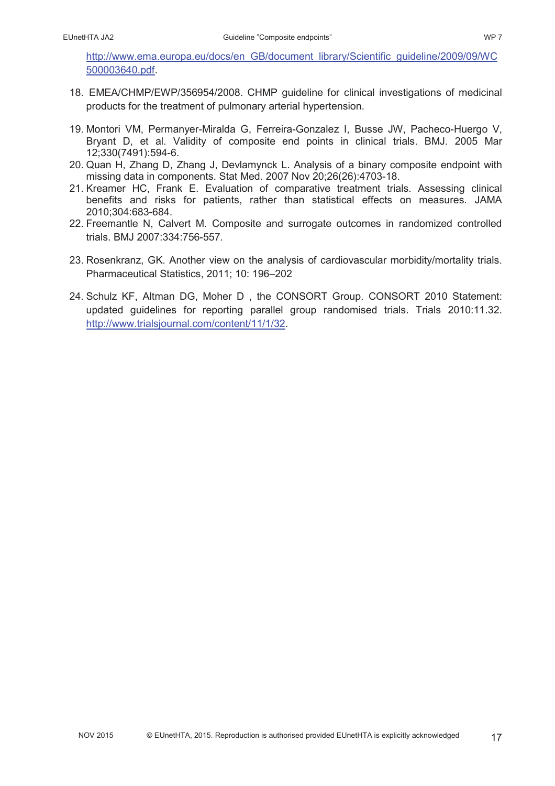http://www.ema.europa.eu/docs/en\_GB/document\_library/Scientific\_guideline/2009/09/WC 500003640.pdf.

- 18. EMEA/CHMP/EWP/356954/2008. CHMP guideline for clinical investigations of medicinal products for the treatment of pulmonary arterial hypertension.
- 19. Montori VM, Permanyer-Miralda G, Ferreira-Gonzalez I, Busse JW, Pacheco-Huergo V, Bryant D, et al. Validity of composite end points in clinical trials. BMJ. 2005 Mar 12;330(7491):594-6.
- 20. Quan H, Zhang D, Zhang J, Devlamynck L. Analysis of a binary composite endpoint with missing data in components. Stat Med. 2007 Nov 20;26(26):4703-18.
- 21. Kreamer HC, Frank E. Evaluation of comparative treatment trials. Assessing clinical benefits and risks for patients, rather than statistical effects on measures. JAMA 2010;304:683-684.
- 22. Freemantle N, Calvert M. Composite and surrogate outcomes in randomized controlled trials. BMJ 2007:334:756-557.
- 23. Rosenkranz, GK. Another view on the analysis of cardiovascular morbidity/mortality trials. Pharmaceutical Statistics, 2011; 10: 196–202
- 24. Schulz KF, Altman DG, Moher D , the CONSORT Group. CONSORT 2010 Statement: updated guidelines for reporting parallel group randomised trials. Trials 2010:11.32. http://www.trialsjournal.com/content/11/1/32.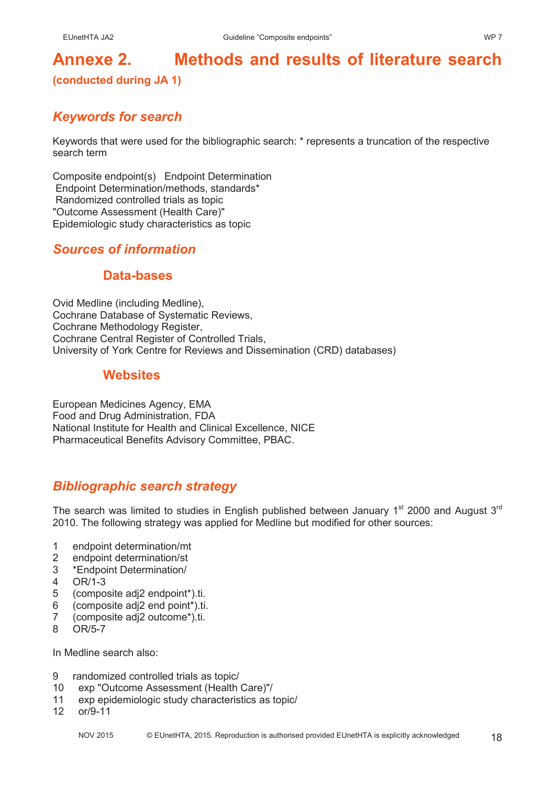# **Annexe 2. Methods and results of literature search**

#### **(conducted during JA 1)**

## *Keywords for search*

Keywords that were used for the bibliographic search: \* represents a truncation of the respective search term

Composite endpoint(s) Endpoint Determination Endpoint Determination/methods, standards\* Randomized controlled trials as topic "Outcome Assessment (Health Care)" Epidemiologic study characteristics as topic

## *Sources of information*

#### **Data-bases**

Ovid Medline (including Medline), Cochrane Database of Systematic Reviews, Cochrane Methodology Register, Cochrane Central Register of Controlled Trials, University of York Centre for Reviews and Dissemination (CRD) databases)

## **Websites**

European Medicines Agency, EMA Food and Drug Administration, FDA National Institute for Health and Clinical Excellence, NICE Pharmaceutical Benefits Advisory Committee, PBAC.

## *Bibliographic search strategy*

The search was limited to studies in English published between January 1<sup>st</sup> 2000 and August  $3<sup>rd</sup>$ 2010. The following strategy was applied for Medline but modified for other sources:

- 1 endpoint determination/mt
- 2 endpoint determination/st
- 3 \*Endpoint Determination/
- 4 OR/1-3
- 5 (composite adj2 endpoint\*).ti.
- 6 (composite adj2 end point\*).ti.
- 7 (composite adj2 outcome\*).ti.
- 8 OR/5-7

In Medline search also:

- 9 randomized controlled trials as topic/
- 10 exp "Outcome Assessment (Health Care)"/
- 11 exp epidemiologic study characteristics as topic/<br>12 or/9-11
- $or/9-11$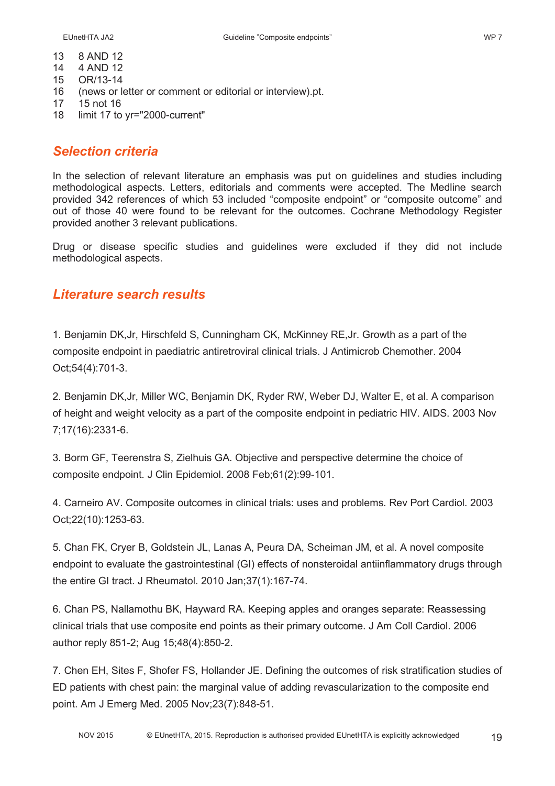- 13 8 AND 12
- 14 4 AND 12
- 15 OR/13-14
- 16 (news or letter or comment or editorial or interview).pt.
- 17 15 not 16
- 18 limit 17 to yr="2000-current"

#### *Selection criteria*

In the selection of relevant literature an emphasis was put on guidelines and studies including methodological aspects. Letters, editorials and comments were accepted. The Medline search provided 342 references of which 53 included "composite endpoint" or "composite outcome" and out of those 40 were found to be relevant for the outcomes. Cochrane Methodology Register provided another 3 relevant publications.

Drug or disease specific studies and guidelines were excluded if they did not include methodological aspects.

#### *Literature search results*

1. Benjamin DK,Jr, Hirschfeld S, Cunningham CK, McKinney RE,Jr. Growth as a part of the composite endpoint in paediatric antiretroviral clinical trials. J Antimicrob Chemother. 2004 Oct;54(4):701-3.

2. Benjamin DK,Jr, Miller WC, Benjamin DK, Ryder RW, Weber DJ, Walter E, et al. A comparison of height and weight velocity as a part of the composite endpoint in pediatric HIV. AIDS. 2003 Nov 7;17(16):2331-6.

3. Borm GF, Teerenstra S, Zielhuis GA. Objective and perspective determine the choice of composite endpoint. J Clin Epidemiol. 2008 Feb;61(2):99-101.

4. Carneiro AV. Composite outcomes in clinical trials: uses and problems. Rev Port Cardiol. 2003 Oct;22(10):1253-63.

5. Chan FK, Cryer B, Goldstein JL, Lanas A, Peura DA, Scheiman JM, et al. A novel composite endpoint to evaluate the gastrointestinal (GI) effects of nonsteroidal antiinflammatory drugs through the entire GI tract. J Rheumatol. 2010 Jan;37(1):167-74.

6. Chan PS, Nallamothu BK, Hayward RA. Keeping apples and oranges separate: Reassessing clinical trials that use composite end points as their primary outcome. J Am Coll Cardiol. 2006 author reply 851-2; Aug 15;48(4):850-2.

7. Chen EH, Sites F, Shofer FS, Hollander JE. Defining the outcomes of risk stratification studies of ED patients with chest pain: the marginal value of adding revascularization to the composite end point. Am J Emerg Med. 2005 Nov;23(7):848-51.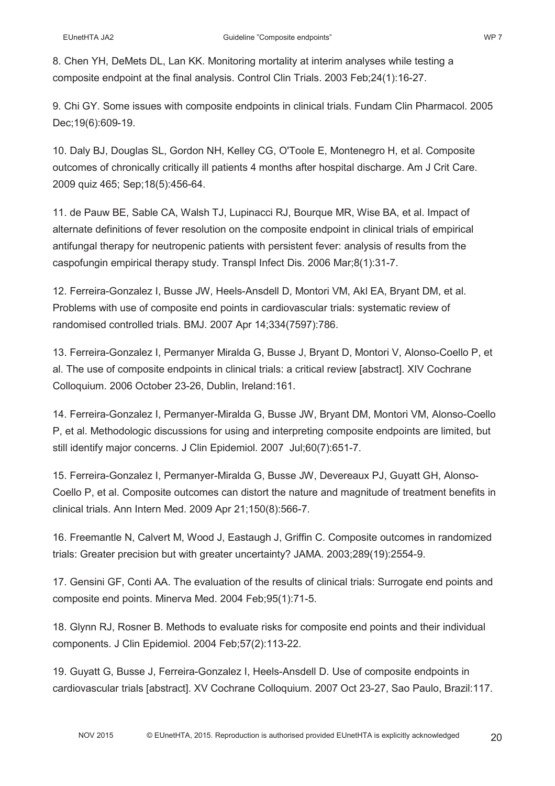8. Chen YH, DeMets DL, Lan KK. Monitoring mortality at interim analyses while testing a composite endpoint at the final analysis. Control Clin Trials. 2003 Feb;24(1):16-27.

9. Chi GY. Some issues with composite endpoints in clinical trials. Fundam Clin Pharmacol. 2005 Dec;19(6):609-19.

10. Daly BJ, Douglas SL, Gordon NH, Kelley CG, O'Toole E, Montenegro H, et al. Composite outcomes of chronically critically ill patients 4 months after hospital discharge. Am J Crit Care. 2009 quiz 465; Sep;18(5):456-64.

11. de Pauw BE, Sable CA, Walsh TJ, Lupinacci RJ, Bourque MR, Wise BA, et al. Impact of alternate definitions of fever resolution on the composite endpoint in clinical trials of empirical antifungal therapy for neutropenic patients with persistent fever: analysis of results from the caspofungin empirical therapy study. Transpl Infect Dis. 2006 Mar;8(1):31-7.

12. Ferreira-Gonzalez I, Busse JW, Heels-Ansdell D, Montori VM, Akl EA, Bryant DM, et al. Problems with use of composite end points in cardiovascular trials: systematic review of randomised controlled trials. BMJ. 2007 Apr 14;334(7597):786.

13. Ferreira-Gonzalez I, Permanyer Miralda G, Busse J, Bryant D, Montori V, Alonso-Coello P, et al. The use of composite endpoints in clinical trials: a critical review [abstract]. XIV Cochrane Colloquium. 2006 October 23-26, Dublin, Ireland:161.

14. Ferreira-Gonzalez I, Permanyer-Miralda G, Busse JW, Bryant DM, Montori VM, Alonso-Coello P, et al. Methodologic discussions for using and interpreting composite endpoints are limited, but still identify major concerns. J Clin Epidemiol. 2007 Jul;60(7):651-7.

15. Ferreira-Gonzalez I, Permanyer-Miralda G, Busse JW, Devereaux PJ, Guyatt GH, Alonso-Coello P, et al. Composite outcomes can distort the nature and magnitude of treatment benefits in clinical trials. Ann Intern Med. 2009 Apr 21;150(8):566-7.

16. Freemantle N, Calvert M, Wood J, Eastaugh J, Griffin C. Composite outcomes in randomized trials: Greater precision but with greater uncertainty? JAMA. 2003;289(19):2554-9.

17. Gensini GF, Conti AA. The evaluation of the results of clinical trials: Surrogate end points and composite end points. Minerva Med. 2004 Feb;95(1):71-5.

18. Glynn RJ, Rosner B. Methods to evaluate risks for composite end points and their individual components. J Clin Epidemiol. 2004 Feb;57(2):113-22.

19. Guyatt G, Busse J, Ferreira-Gonzalez I, Heels-Ansdell D. Use of composite endpoints in cardiovascular trials [abstract]. XV Cochrane Colloquium. 2007 Oct 23-27, Sao Paulo, Brazil:117.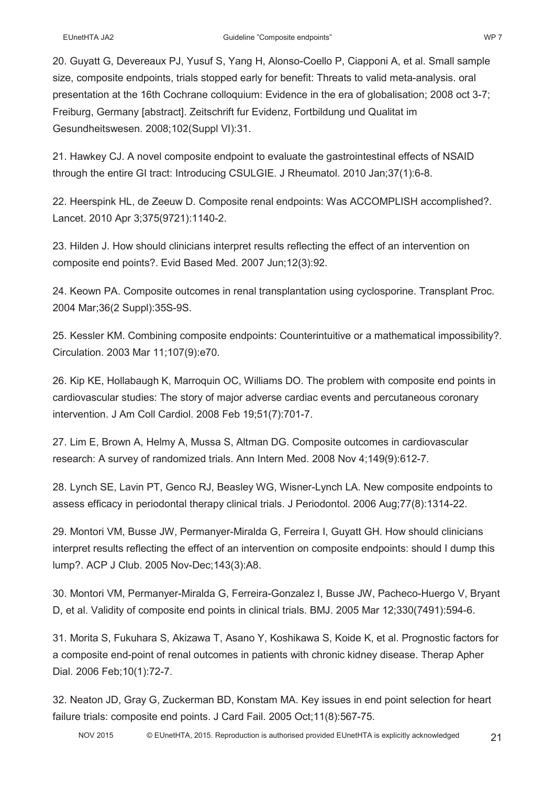size, composite endpoints, trials stopped early for benefit: Threats to valid meta-analysis. oral presentation at the 16th Cochrane colloquium: Evidence in the era of globalisation; 2008 oct 3-7; Freiburg, Germany [abstract]. Zeitschrift fur Evidenz, Fortbildung und Qualitat im Gesundheitswesen. 2008;102(Suppl VI):31.

21. Hawkey CJ. A novel composite endpoint to evaluate the gastrointestinal effects of NSAID through the entire GI tract: Introducing CSULGIE. J Rheumatol. 2010 Jan;37(1):6-8.

22. Heerspink HL, de Zeeuw D. Composite renal endpoints: Was ACCOMPLISH accomplished?. Lancet. 2010 Apr 3;375(9721):1140-2.

23. Hilden J. How should clinicians interpret results reflecting the effect of an intervention on composite end points?. Evid Based Med. 2007 Jun;12(3):92.

24. Keown PA. Composite outcomes in renal transplantation using cyclosporine. Transplant Proc. 2004 Mar;36(2 Suppl):35S-9S.

25. Kessler KM. Combining composite endpoints: Counterintuitive or a mathematical impossibility?. Circulation. 2003 Mar 11;107(9):e70.

26. Kip KE, Hollabaugh K, Marroquin OC, Williams DO. The problem with composite end points in cardiovascular studies: The story of major adverse cardiac events and percutaneous coronary intervention. J Am Coll Cardiol. 2008 Feb 19;51(7):701-7.

27. Lim E, Brown A, Helmy A, Mussa S, Altman DG. Composite outcomes in cardiovascular research: A survey of randomized trials. Ann Intern Med. 2008 Nov 4;149(9):612-7.

28. Lynch SE, Lavin PT, Genco RJ, Beasley WG, Wisner-Lynch LA. New composite endpoints to assess efficacy in periodontal therapy clinical trials. J Periodontol. 2006 Aug;77(8):1314-22.

29. Montori VM, Busse JW, Permanyer-Miralda G, Ferreira I, Guyatt GH. How should clinicians interpret results reflecting the effect of an intervention on composite endpoints: should I dump this lump?. ACP J Club. 2005 Nov-Dec;143(3):A8.

30. Montori VM, Permanyer-Miralda G, Ferreira-Gonzalez I, Busse JW, Pacheco-Huergo V, Bryant D, et al. Validity of composite end points in clinical trials. BMJ. 2005 Mar 12;330(7491):594-6.

31. Morita S, Fukuhara S, Akizawa T, Asano Y, Koshikawa S, Koide K, et al. Prognostic factors for a composite end-point of renal outcomes in patients with chronic kidney disease. Therap Apher Dial. 2006 Feb;10(1):72-7.

32. Neaton JD, Gray G, Zuckerman BD, Konstam MA. Key issues in end point selection for heart failure trials: composite end points. J Card Fail. 2005 Oct;11(8):567-75.